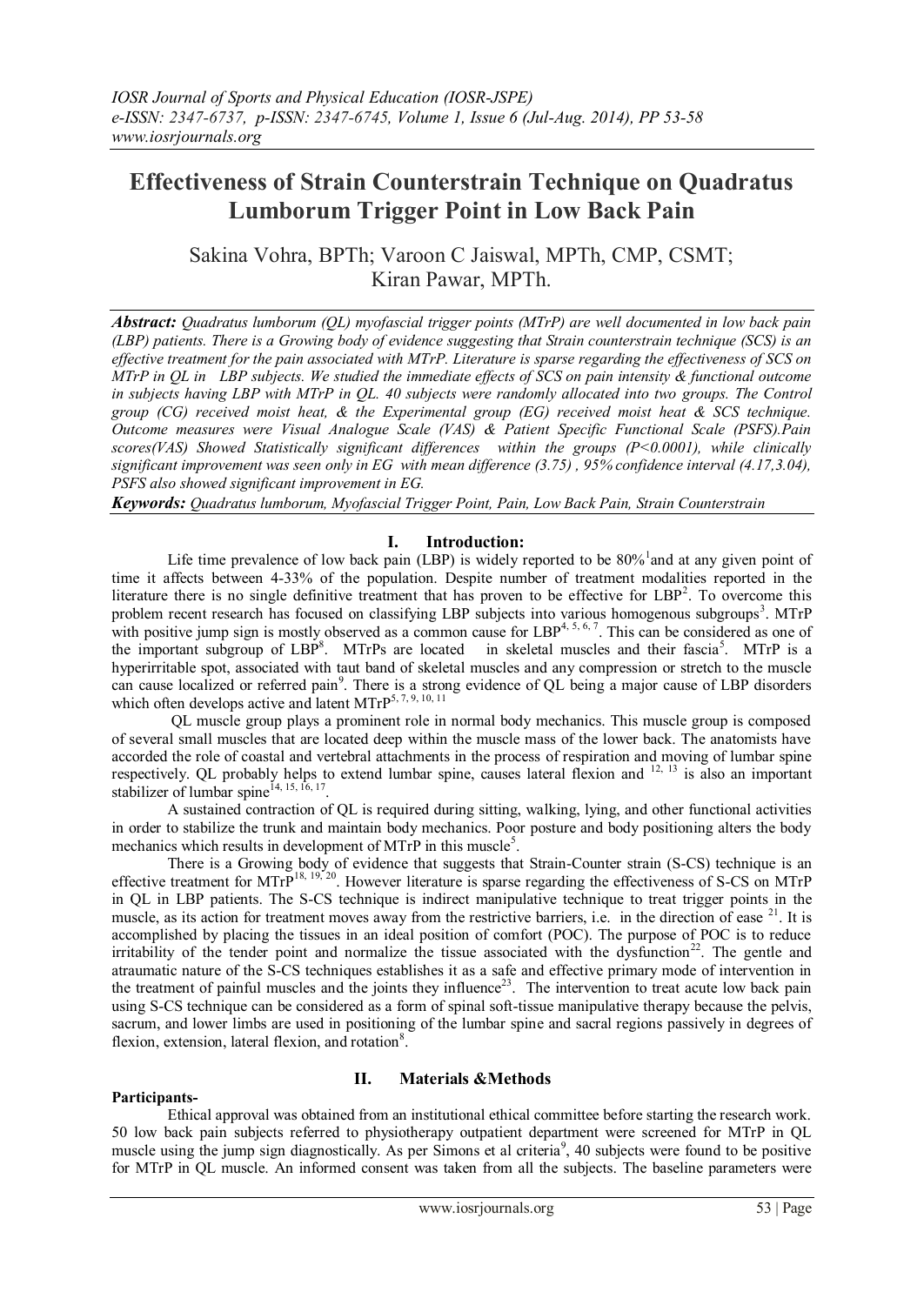# **Effectiveness of Strain Counterstrain Technique on Quadratus Lumborum Trigger Point in Low Back Pain**

Sakina Vohra, BPTh; Varoon C Jaiswal, MPTh, CMP, CSMT; Kiran Pawar, MPTh.

*Abstract: Quadratus lumborum (QL) myofascial trigger points (MTrP) are well documented in low back pain (LBP) patients. There is a Growing body of evidence suggesting that Strain counterstrain technique (SCS) is an effective treatment for the pain associated with MTrP. Literature is sparse regarding the effectiveness of SCS on MTrP in QL in LBP subjects. We studied the immediate effects of SCS on pain intensity & functional outcome in subjects having LBP with MTrP in QL. 40 subjects were randomly allocated into two groups. The Control group (CG) received moist heat, & the Experimental group (EG) received moist heat & SCS technique. Outcome measures were Visual Analogue Scale (VAS) & Patient Specific Functional Scale (PSFS).Pain scores(VAS) Showed Statistically significant differences within the groups (P<0.0001), while clinically significant improvement was seen only in EG with mean difference (3.75) , 95% confidence interval (4.17,3.04), PSFS also showed significant improvement in EG.* 

*Keywords: Quadratus lumborum, Myofascial Trigger Point, Pain, Low Back Pain, Strain Counterstrain*

## **I. Introduction:**

Life time prevalence of low back pain (LBP) is widely reported to be  $80\%$  and at any given point of time it affects between 4-33% of the population. Despite number of treatment modalities reported in the literature there is no single definitive treatment that has proven to be effective for LBP<sup>2</sup>. To overcome this problem recent research has focused on classifying LBP subjects into various homogenous subgroups<sup>3</sup>. MTrP with positive jump sign is mostly observed as a common cause for LBP<sup>4, 5, 6, 7</sup>. This can be considered as one of the important subgroup of LBP<sup>8</sup>. MTrPs are located in skeletal muscles and their fascia<sup>5</sup>. MTrP is a hyperirritable spot, associated with taut band of skeletal muscles and any compression or stretch to the muscle can cause localized or referred pain<sup>9</sup>. There is a strong evidence of QL being a major cause of LBP disorders which often develops active and latent MTrP<sup>5, 7, 9, 10, 11</sup>

QL muscle group plays a prominent role in normal body mechanics. This muscle group is composed of several small muscles that are located deep within the muscle mass of the lower back. The anatomists have accorded the role of coastal and vertebral attachments in the process of respiration and moving of lumbar spine respectively. QL probably helps to extend lumbar spine, causes lateral flexion and  $^{12, 13}$  is also an important stabilizer of lumbar spine $^{14, 15, 16, 17}$ .

A sustained contraction of QL is required during sitting, walking, lying, and other functional activities in order to stabilize the trunk and maintain body mechanics. Poor posture and body positioning alters the body mechanics which results in development of MTrP in this muscle<sup>5</sup>.

There is a Growing body of evidence that suggests that Strain-Counter strain (S-CS) technique is an effective treatment for MTr $P^{18, 19, 20}$ . However literature is sparse regarding the effectiveness of S-CS on MTrP in QL in LBP patients. The S-CS technique is indirect manipulative technique to treat trigger points in the muscle, as its action for treatment moves away from the restrictive barriers, i.e. in the direction of ease  $2^1$ . It is accomplished by placing the tissues in an ideal position of comfort (POC). The purpose of POC is to reduce irritability of the tender point and normalize the tissue associated with the dysfunction<sup>22</sup>. The gentle and atraumatic nature of the S-CS techniques establishes it as a safe and effective primary mode of intervention in the treatment of painful muscles and the joints they influence<sup>23</sup>. The intervention to treat acute low back pain using S-CS technique can be considered as a form of spinal soft-tissue manipulative therapy because the pelvis, sacrum, and lower limbs are used in positioning of the lumbar spine and sacral regions passively in degrees of flexion, extension, lateral flexion, and rotation<sup>8</sup>.

# **II. Materials &Methods**

**Participants-**

Ethical approval was obtained from an institutional ethical committee before starting the research work. 50 low back pain subjects referred to physiotherapy outpatient department were screened for MTrP in QL muscle using the jump sign diagnostically. As per Simons et al criteria<sup>9</sup>, 40 subjects were found to be positive for MTrP in QL muscle. An informed consent was taken from all the subjects. The baseline parameters were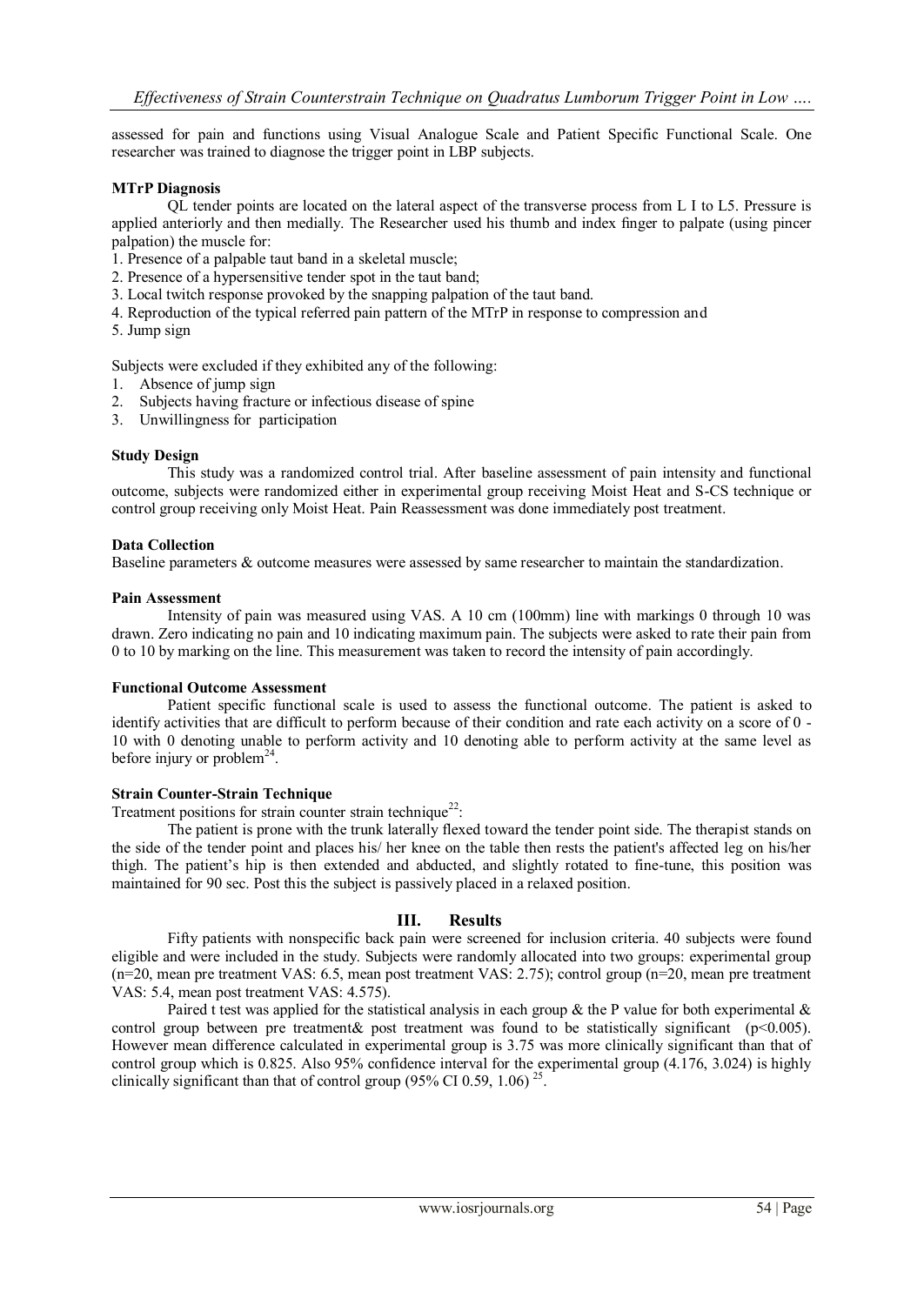assessed for pain and functions using Visual Analogue Scale and Patient Specific Functional Scale. One researcher was trained to diagnose the trigger point in LBP subjects.

#### **MTrP Diagnosis**

QL tender points are located on the lateral aspect of the transverse process from L I to L5. Pressure is applied anteriorly and then medially. The Researcher used his thumb and index finger to palpate (using pincer palpation) the muscle for:

- 1. Presence of a palpable taut band in a skeletal muscle;
- 2. Presence of a hypersensitive tender spot in the taut band;
- 3. Local twitch response provoked by the snapping palpation of the taut band.
- 4. Reproduction of the typical referred pain pattern of the MTrP in response to compression and
- 5. Jump sign

Subjects were excluded if they exhibited any of the following:

- 1. Absence of jump sign
- 2. Subjects having fracture or infectious disease of spine
- 3. Unwillingness for participation

#### **Study Design**

This study was a randomized control trial. After baseline assessment of pain intensity and functional outcome, subjects were randomized either in experimental group receiving Moist Heat and S-CS technique or control group receiving only Moist Heat. Pain Reassessment was done immediately post treatment.

#### **Data Collection**

Baseline parameters & outcome measures were assessed by same researcher to maintain the standardization.

#### **Pain Assessment**

Intensity of pain was measured using VAS. A 10 cm (100mm) line with markings 0 through 10 was drawn. Zero indicating no pain and 10 indicating maximum pain. The subjects were asked to rate their pain from 0 to 10 by marking on the line. This measurement was taken to record the intensity of pain accordingly.

#### **Functional Outcome Assessment**

Patient specific functional scale is used to assess the functional outcome. The patient is asked to identify activities that are difficult to perform because of their condition and rate each activity on a score of 0 - 10 with 0 denoting unable to perform activity and 10 denoting able to perform activity at the same level as before injury or problem<sup>24</sup>.

#### **Strain Counter-Strain Technique**

Treatment positions for strain counter strain technique<sup>22</sup>:

The patient is prone with the trunk laterally flexed toward the tender point side. The therapist stands on the side of the tender point and places his/ her knee on the table then rests the patient's affected leg on his/her thigh. The patient's hip is then extended and abducted, and slightly rotated to fine-tune, this position was maintained for 90 sec. Post this the subject is passively placed in a relaxed position.

#### **III. Results**

Fifty patients with nonspecific back pain were screened for inclusion criteria. 40 subjects were found eligible and were included in the study. Subjects were randomly allocated into two groups: experimental group (n=20, mean pre treatment VAS: 6.5, mean post treatment VAS: 2.75); control group (n=20, mean pre treatment VAS: 5.4, mean post treatment VAS: 4.575).

Paired t test was applied for the statistical analysis in each group & the P value for both experimental  $\&$ control group between pre treatment& post treatment was found to be statistically significant ( $p$ <0.005). However mean difference calculated in experimental group is 3.75 was more clinically significant than that of control group which is 0.825. Also 95% confidence interval for the experimental group (4.176, 3.024) is highly clinically significant than that of control group (95% CI 0.59, 1.06)<sup>25</sup>.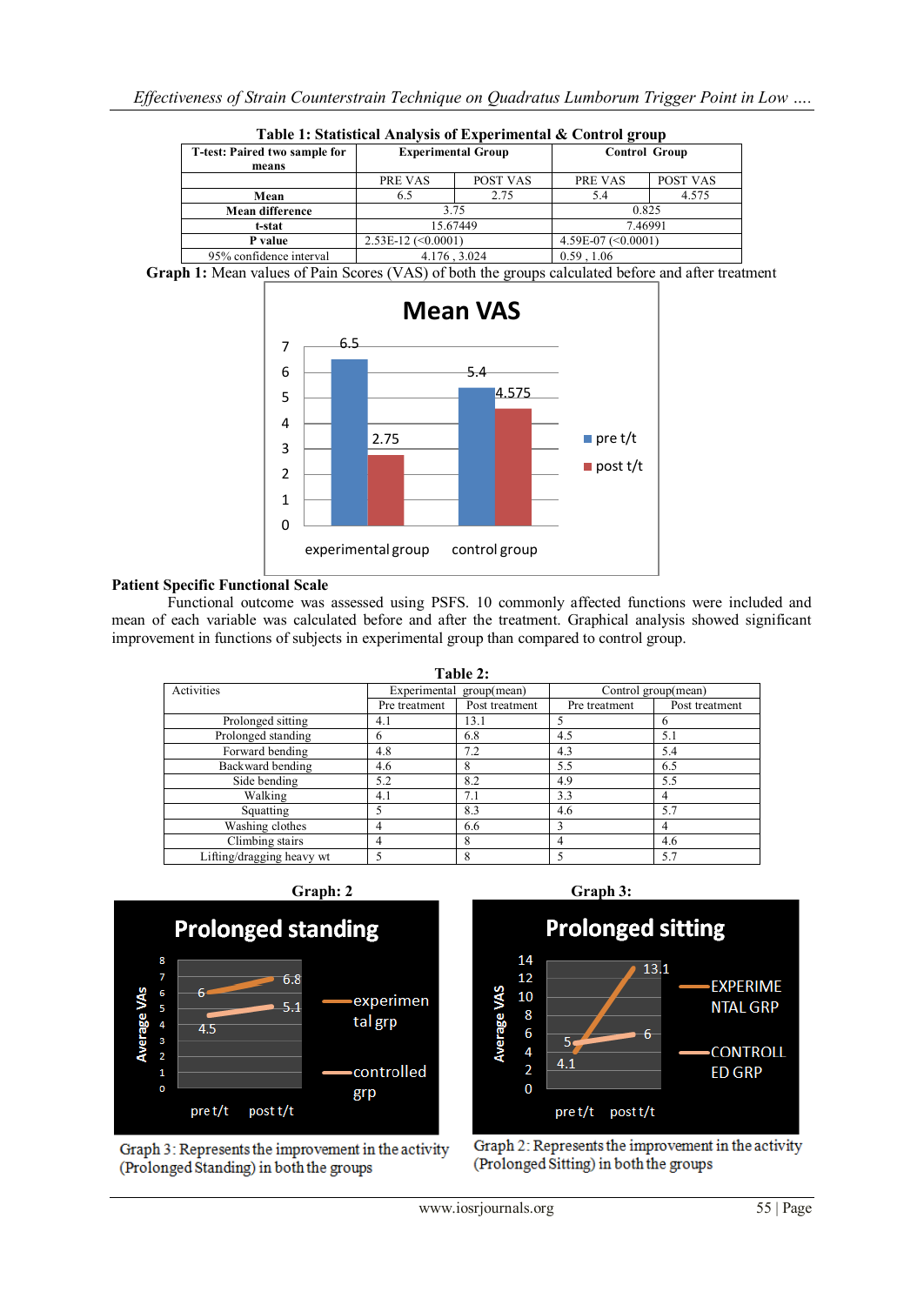| Table 1: Statistical Analysis of Experimental & Control group |                           |          |                       |          |  |  |  |
|---------------------------------------------------------------|---------------------------|----------|-----------------------|----------|--|--|--|
| T-test: Paired two sample for                                 | <b>Experimental Group</b> |          | <b>Control Group</b>  |          |  |  |  |
| means                                                         |                           |          |                       |          |  |  |  |
|                                                               | PRE VAS                   | POST VAS | PRE VAS               | POST VAS |  |  |  |
| Mean                                                          | 6.5                       | 2.75     | 5.4                   | 4.575    |  |  |  |
| <b>Mean difference</b>                                        | 375                       |          | 0.825                 |          |  |  |  |
| t-stat                                                        | 15.67449                  |          | 7.46991               |          |  |  |  |
| P value                                                       | $2.53E-12$ (<0.0001)      |          | 4.59E-07 $(< 0.0001)$ |          |  |  |  |
| 95% confidence interval                                       | 4.176, 3.024              |          | 0.59, 1.06            |          |  |  |  |

**Graph 1:** Mean values of Pain Scores (VAS) of both the groups calculated before and after treatment



## **Patient Specific Functional Scale**

Functional outcome was assessed using PSFS. 10 commonly affected functions were included and mean of each variable was calculated before and after the treatment. Graphical analysis showed significant improvement in functions of subjects in experimental group than compared to control group.

| Table 2:                  |                          |                |                     |                |  |  |
|---------------------------|--------------------------|----------------|---------------------|----------------|--|--|
| Activities                | Experimental group(mean) |                | Control group(mean) |                |  |  |
|                           | Pre treatment            | Post treatment | Pre treatment       | Post treatment |  |  |
| Prolonged sitting         | 4.1                      | 13.1           | 5                   |                |  |  |
| Prolonged standing        | h                        | 6.8            | 4.5                 | 5.1            |  |  |
| Forward bending           | 4.8                      | 7.2            | 4.3                 | 5.4            |  |  |
| Backward bending          | 4.6                      | 8              | 5.5                 | 6.5            |  |  |
| Side bending              | 5.2                      | 8.2            | 4.9                 | 5.5            |  |  |
| Walking                   | 4.1                      | 7.1            | 3.3                 | 4              |  |  |
| Squatting                 |                          | 8.3            | 4.6                 | 5.7            |  |  |
| Washing clothes           | 4                        | 6.6            | 3                   | 4              |  |  |
| Climbing stairs           | 4                        | 8              | 4                   | 4.6            |  |  |
| Lifting/dragging heavy wt |                          | 8              | 5                   | 5.7            |  |  |



Graph 3: Represents the improvement in the activity (Prolonged Standing) in both the groups

post t/t

pre t/t

**Prolonged sitting** 14  $13.1$  $12$ **EXPERIME** 10 **NTAL GRP** 



Graph 2: Represents the improvement in the activity (Prolonged Sitting) in both the groups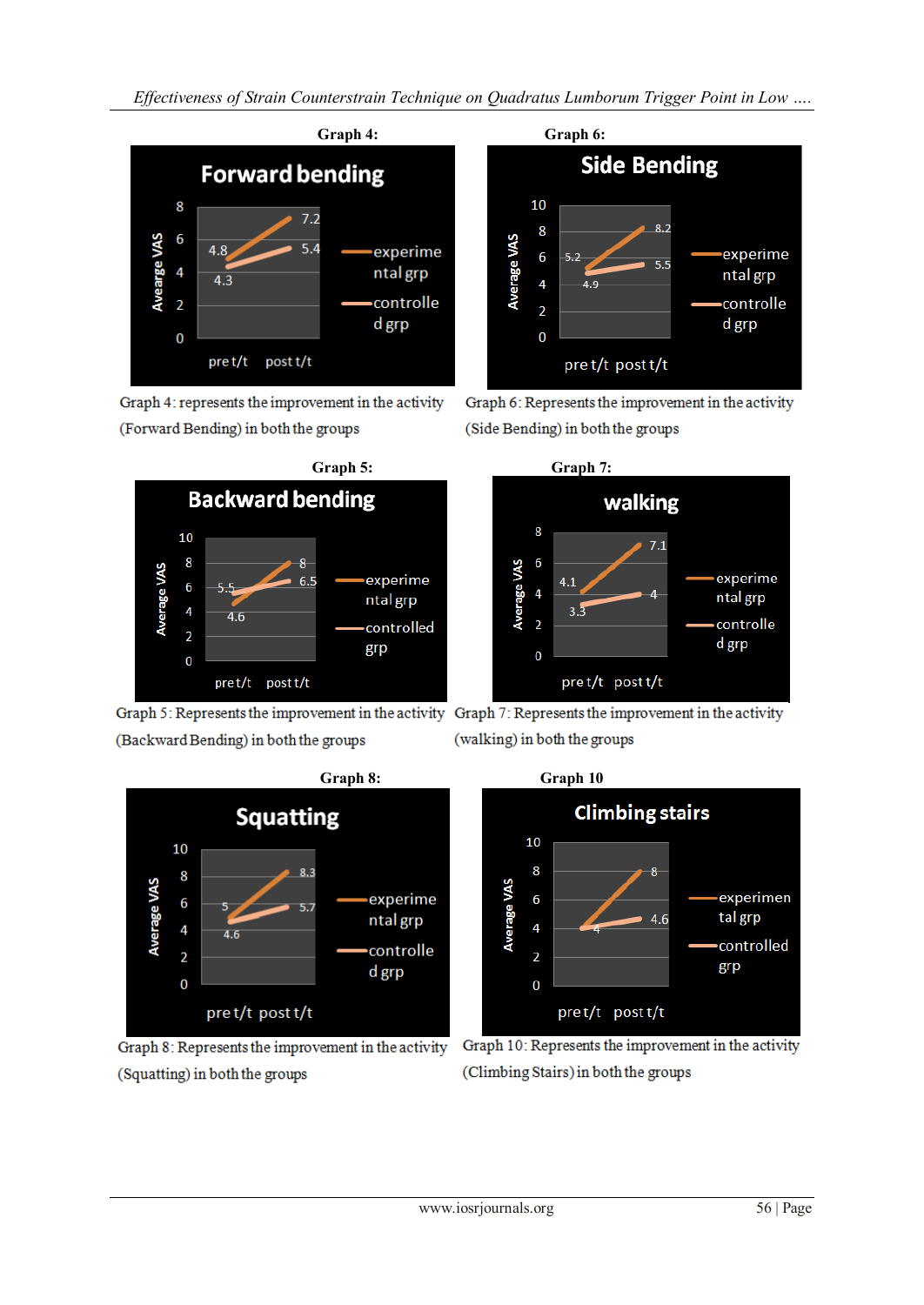*Effectiveness of Strain Counterstrain Technique on Quadratus Lumborum Trigger Point in Low ….*



(Forward Bending) in both the groups



(Backward Bending) in both the groups



(Squatting) in both the groups



Graph 6: Represents the improvement in the activity (Side Bending) in both the groups



Graph 5: Represents the improvement in the activity Graph 7: Represents the improvement in the activity (walking) in both the groups



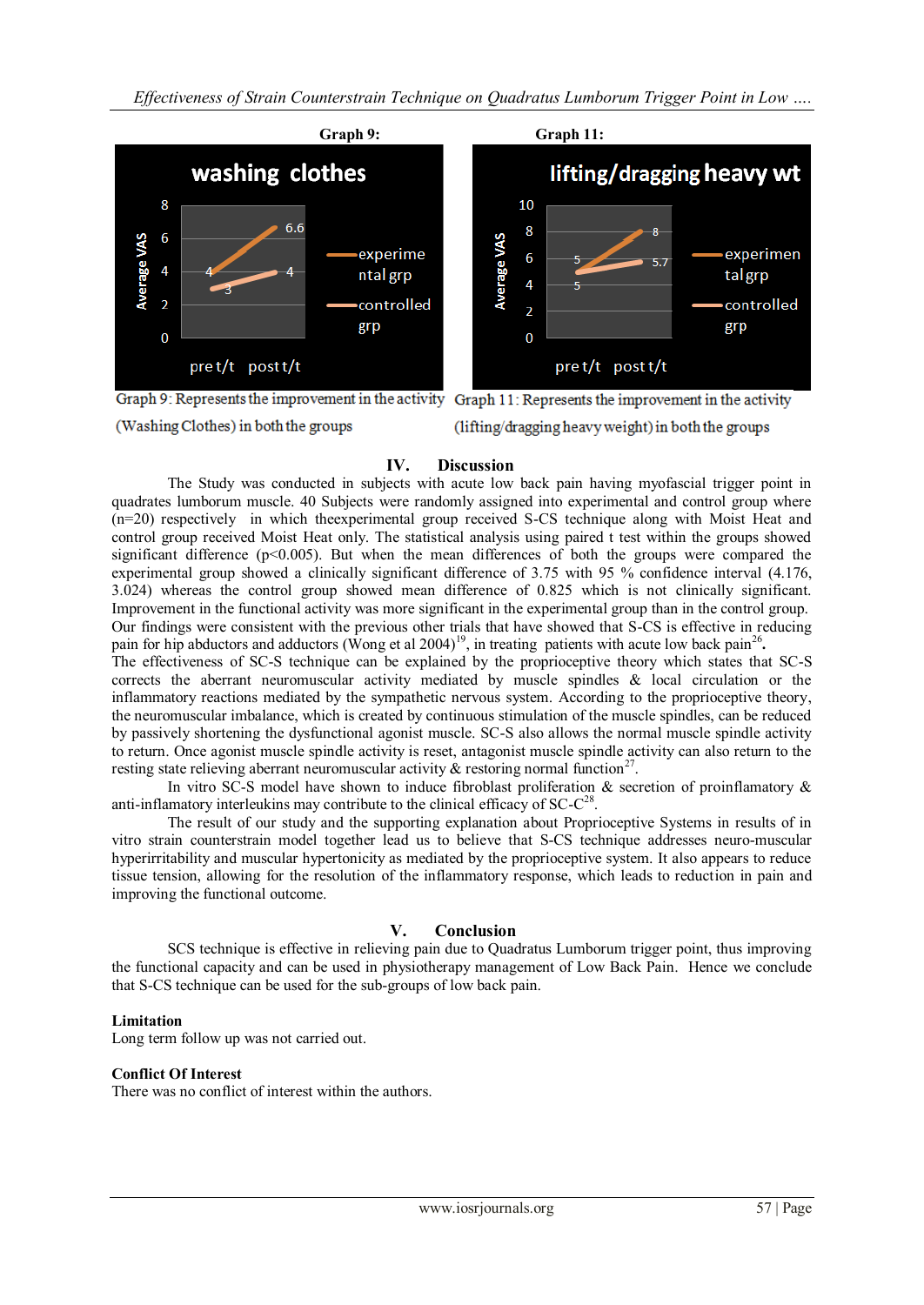*Effectiveness of Strain Counterstrain Technique on Quadratus Lumborum Trigger Point in Low ….*



(Washing Clothes) in both the groups (lifting/dragging heavy weight) in both the groups

## **IV. Discussion**

The Study was conducted in subjects with acute low back pain having myofascial trigger point in quadrates lumborum muscle. 40 Subjects were randomly assigned into experimental and control group where (n=20) respectively in which theexperimental group received S-CS technique along with Moist Heat and control group received Moist Heat only. The statistical analysis using paired t test within the groups showed significant difference  $(p<0.005)$ . But when the mean differences of both the groups were compared the experimental group showed a clinically significant difference of 3.75 with 95 % confidence interval (4.176, 3.024) whereas the control group showed mean difference of 0.825 which is not clinically significant. Improvement in the functional activity was more significant in the experimental group than in the control group. Our findings were consistent with the previous other trials that have showed that S-CS is effective in reducing pain for hip abductors and adductors (Wong et al 2004)<sup>19</sup>, in treating patients with acute low back pain<sup>26</sup>.

The effectiveness of SC-S technique can be explained by the proprioceptive theory which states that SC-S corrects the aberrant neuromuscular activity mediated by muscle spindles & local circulation or the inflammatory reactions mediated by the sympathetic nervous system. According to the proprioceptive theory, the neuromuscular imbalance, which is created by continuous stimulation of the muscle spindles, can be reduced by passively shortening the dysfunctional agonist muscle. SC-S also allows the normal muscle spindle activity to return. Once agonist muscle spindle activity is reset, antagonist muscle spindle activity can also return to the resting state relieving aberrant neuromuscular activity  $\&$  restoring normal function<sup>27</sup>.

In vitro SC-S model have shown to induce fibroblast proliferation  $\&$  secretion of proinflamatory  $\&$ anti-inflamatory interleukins may contribute to the clinical efficacy of  $SC-C^{28}$ .

The result of our study and the supporting explanation about Proprioceptive Systems in results of in vitro strain counterstrain model together lead us to believe that S-CS technique addresses neuro-muscular hyperirritability and muscular hypertonicity as mediated by the proprioceptive system. It also appears to reduce tissue tension, allowing for the resolution of the inflammatory response, which leads to reduction in pain and improving the functional outcome.

## **V. Conclusion**

SCS technique is effective in relieving pain due to Quadratus Lumborum trigger point, thus improving the functional capacity and can be used in physiotherapy management of Low Back Pain. Hence we conclude that S-CS technique can be used for the sub-groups of low back pain.

### **Limitation**

Long term follow up was not carried out.

### **Conflict Of Interest**

There was no conflict of interest within the authors.